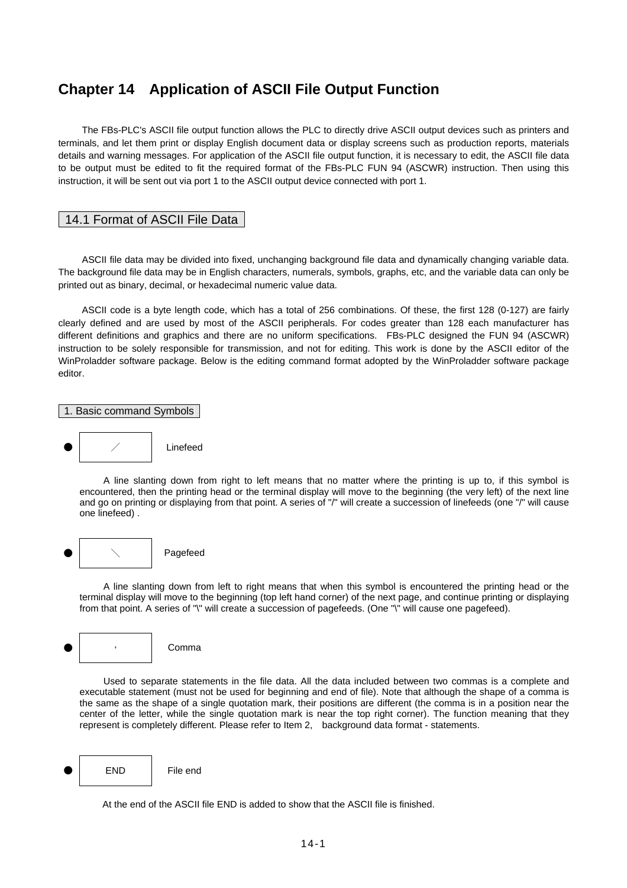# **Chapter 14 Application of ASCII File Output Function**

 The FBs-PLC's ASCII file output function allows the PLC to directly drive ASCII output devices such as printers and terminals, and let them print or display English document data or display screens such as production reports, materials details and warning messages. For application of the ASCII file output function, it is necessary to edit, the ASCII file data to be output must be edited to fit the required format of the FBs-PLC FUN 94 (ASCWR) instruction. Then using this instruction, it will be sent out via port 1 to the ASCII output device connected with port 1.

### 14.1 Format of ASCII File Data

 ASCII file data may be divided into fixed, unchanging background file data and dynamically changing variable data. The background file data may be in English characters, numerals, symbols, graphs, etc, and the variable data can only be printed out as binary, decimal, or hexadecimal numeric value data.

 ASCII code is a byte length code, which has a total of 256 combinations. Of these, the first 128 (0-127) are fairly clearly defined and are used by most of the ASCII peripherals. For codes greater than 128 each manufacturer has different definitions and graphics and there are no uniform specifications. FBs-PLC designed the FUN 94 (ASCWR) instruction to be solely responsible for transmission, and not for editing. This work is done by the ASCII editor of the WinProladder software package. Below is the editing command format adopted by the WinProladder software package editor.

1. Basic command Symbols



 A line slanting down from right to left means that no matter where the printing is up to, if this symbol is encountered, then the printing head or the terminal display will move to the beginning (the very left) of the next line and go on printing or displaying from that point. A series of "/" will create a succession of linefeeds (one "/" will cause one linefeed) .



 A line slanting down from left to right means that when this symbol is encountered the printing head or the terminal display will move to the beginning (top left hand corner) of the next page, and continue printing or displaying from that point. A series of "\" will create a succession of pagefeeds. (One "\" will cause one pagefeed).



 Used to separate statements in the file data. All the data included between two commas is a complete and executable statement (must not be used for beginning and end of file). Note that although the shape of a comma is the same as the shape of a single quotation mark, their positions are different (the comma is in a position near the center of the letter, while the single quotation mark is near the top right corner). The function meaning that they represent is completely different. Please refer to Item 2, background data format - statements.



At the end of the ASCII file END is added to show that the ASCII file is finished.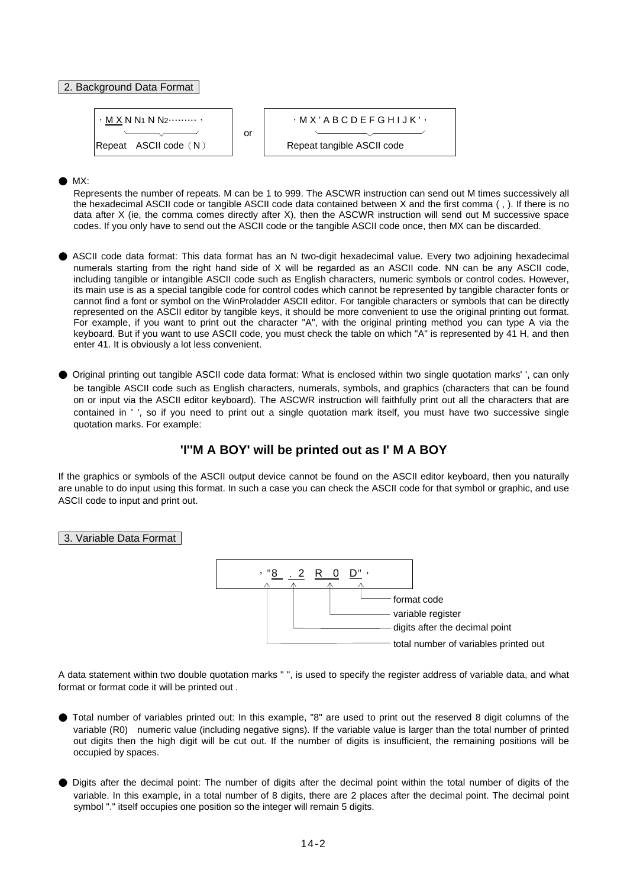#### 2. Background Data Format

| · $M X N N1 N N2$ ... |                          |                                 |
|-----------------------|--------------------------|---------------------------------|
| Repeat ASCII code (N) | or                       | · $M X' A B C D E F G H I J K'$ |
| Repeat ASCII code     | Repeat tangle ASCII code |                                 |

MX:

Represents the number of repeats. M can be 1 to 999. The ASCWR instruction can send out M times successively all the hexadecimal ASCII code or tangible ASCII code data contained between X and the first comma ( , ). If there is no data after X (ie, the comma comes directly after X), then the ASCWR instruction will send out M successive space codes. If you only have to send out the ASCII code or the tangible ASCII code once, then MX can be discarded.

- ASCII code data format: This data format has an N two-digit hexadecimal value. Every two adjoining hexadecimal numerals starting from the right hand side of X will be regarded as an ASCII code. NN can be any ASCII code, including tangible or intangible ASCII code such as English characters, numeric symbols or control codes. However, its main use is as a special tangible code for control codes which cannot be represented by tangible character fonts or cannot find a font or symbol on the WinProladder ASCII editor. For tangible characters or symbols that can be directly represented on the ASCII editor by tangible keys, it should be more convenient to use the original printing out format. For example, if you want to print out the character "A", with the original printing method you can type A via the keyboard. But if you want to use ASCII code, you must check the table on which "A" is represented by 41 H, and then enter 41. It is obviously a lot less convenient.
- Original printing out tangible ASCII code data format: What is enclosed within two single quotation marks' ', can only be tangible ASCII code such as English characters, numerals, symbols, and graphics (characters that can be found on or input via the ASCII editor keyboard). The ASCWR instruction will faithfully print out all the characters that are contained in ' ', so if you need to print out a single quotation mark itself, you must have two successive single quotation marks. For example:

## **'I''M A BOY' will be printed out as I' M A BOY**

If the graphics or symbols of the ASCII output device cannot be found on the ASCII editor keyboard, then you naturally are unable to do input using this format. In such a case you can check the ASCII code for that symbol or graphic, and use ASCII code to input and print out.

#### 3. Variable Data Format



A data statement within two double quotation marks " ", is used to specify the register address of variable data, and what format or format code it will be printed out .

- Total number of variables printed out: In this example, "8" are used to print out the reserved 8 digit columns of the variable (R0) numeric value (including negative signs). If the variable value is larger than the total number of printed out digits then the high digit will be cut out. If the number of digits is insufficient, the remaining positions will be occupied by spaces.
- Digits after the decimal point: The number of digits after the decimal point within the total number of digits of the variable. In this example, in a total number of 8 digits, there are 2 places after the decimal point. The decimal point symbol "." itself occupies one position so the integer will remain 5 digits.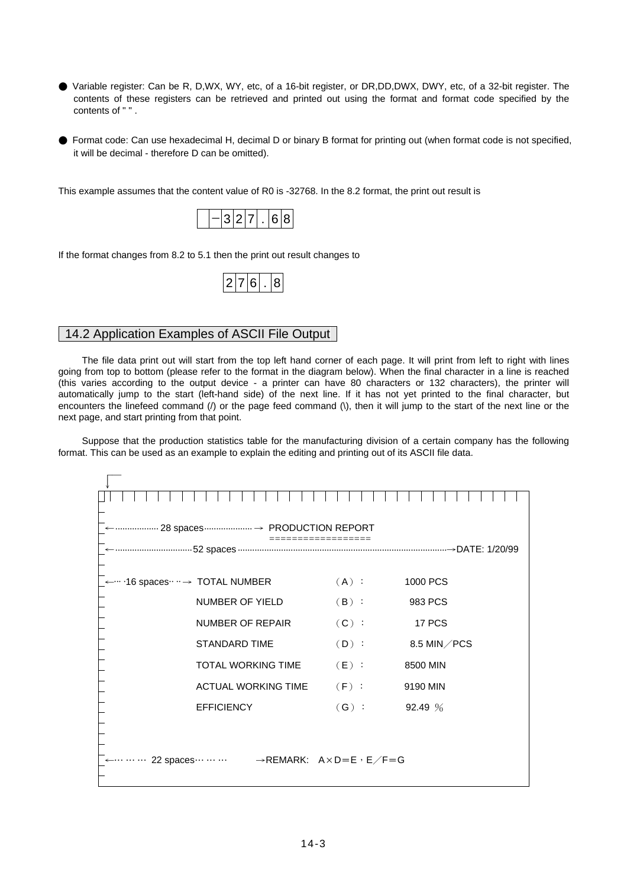- Variable register: Can be R, D,WX, WY, etc, of a 16-bit register, or DR,DD,DWX, DWY, etc, of a 32-bit register. The contents of these registers can be retrieved and printed out using the format and format code specified by the contents of " " .
- Format code: Can use hexadecimal H, decimal D or binary B format for printing out (when format code is not specified, it will be decimal - therefore D can be omitted).

This example assumes that the content value of R0 is -32768. In the 8.2 format, the print out result is

If the format changes from 8.2 to 5.1 then the print out result changes to

|--|

## 14.2 Application Examples of ASCII File Output

 The file data print out will start from the top left hand corner of each page. It will print from left to right with lines going from top to bottom (please refer to the format in the diagram below). When the final character in a line is reached (this varies according to the output device - a printer can have 80 characters or 132 characters), the printer will automatically jump to the start (left-hand side) of the next line. If it has not yet printed to the final character, but encounters the linefeed command (/) or the page feed command (\), then it will jump to the start of the next line or the next page, and start printing from that point.

 Suppose that the production statistics table for the manufacturing division of a certain company has the following format. This can be used as an example to explain the editing and printing out of its ASCII file data.

| 28 spaces  → PRODUCTION REPORT |                                                                                     |         |             |  |  |  |  |  |  |  |  |  |
|--------------------------------|-------------------------------------------------------------------------------------|---------|-------------|--|--|--|--|--|--|--|--|--|
|                                |                                                                                     |         |             |  |  |  |  |  |  |  |  |  |
|                                |                                                                                     |         |             |  |  |  |  |  |  |  |  |  |
|                                | .16 spaces ··· → TOTAL NUMBER                                                       | $(A)$ : | 1000 PCS    |  |  |  |  |  |  |  |  |  |
|                                | <b>NUMBER OF YIELD</b>                                                              | $(B)$ : | 983 PCS     |  |  |  |  |  |  |  |  |  |
|                                | <b>NUMBER OF REPAIR</b>                                                             | $(C)$ : | 17 PCS      |  |  |  |  |  |  |  |  |  |
|                                | <b>STANDARD TIME</b>                                                                | $(D)$ : | 8.5 MIN/PCS |  |  |  |  |  |  |  |  |  |
|                                | <b>TOTAL WORKING TIME</b>                                                           | $(E)$ : | 8500 MIN    |  |  |  |  |  |  |  |  |  |
|                                | <b>ACTUAL WORKING TIME</b>                                                          | $(F)$ : | 9190 MIN    |  |  |  |  |  |  |  |  |  |
|                                | <b>EFFICIENCY</b>                                                                   | $(G)$ : | 92.49 %     |  |  |  |  |  |  |  |  |  |
|                                |                                                                                     |         |             |  |  |  |  |  |  |  |  |  |
|                                |                                                                                     |         |             |  |  |  |  |  |  |  |  |  |
|                                | 22 spaces $\cdots \cdots$ $\rightarrow$ REMARK: A $\times$ D = E $\cdot$ E $/F = G$ |         |             |  |  |  |  |  |  |  |  |  |
|                                |                                                                                     |         |             |  |  |  |  |  |  |  |  |  |